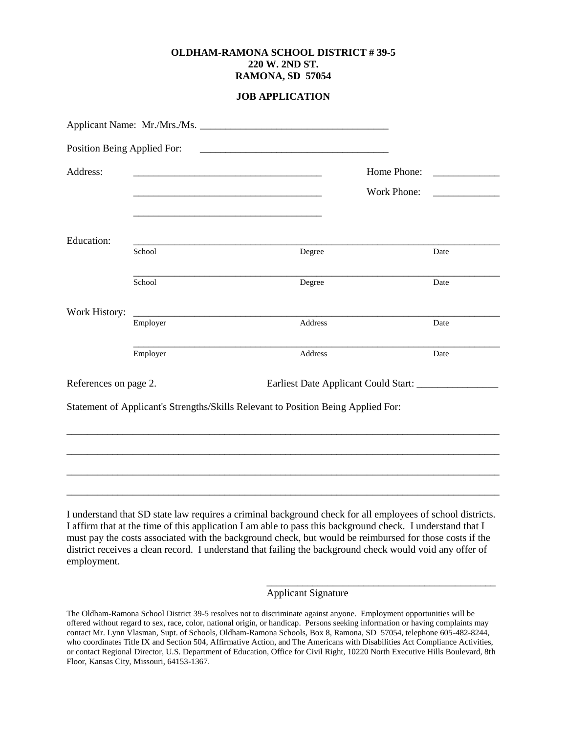## **OLDHAM-RAMONA SCHOOL DISTRICT # 39-5 220 W. 2ND ST. RAMONA, SD 57054**

## **JOB APPLICATION**

| Position Being Applied For: |             |                                                                                                                                                                                                                                                                                                                                                                                                                                                                      |
|-----------------------------|-------------|----------------------------------------------------------------------------------------------------------------------------------------------------------------------------------------------------------------------------------------------------------------------------------------------------------------------------------------------------------------------------------------------------------------------------------------------------------------------|
|                             |             |                                                                                                                                                                                                                                                                                                                                                                                                                                                                      |
|                             | Work Phone: | <u> Alexandria de la conte</u>                                                                                                                                                                                                                                                                                                                                                                                                                                       |
|                             |             |                                                                                                                                                                                                                                                                                                                                                                                                                                                                      |
| School                      | Degree      | Date                                                                                                                                                                                                                                                                                                                                                                                                                                                                 |
| School                      | Degree      | Date                                                                                                                                                                                                                                                                                                                                                                                                                                                                 |
|                             |             |                                                                                                                                                                                                                                                                                                                                                                                                                                                                      |
|                             |             | Date                                                                                                                                                                                                                                                                                                                                                                                                                                                                 |
| Employer                    | Address     | Date                                                                                                                                                                                                                                                                                                                                                                                                                                                                 |
| References on page 2.       |             |                                                                                                                                                                                                                                                                                                                                                                                                                                                                      |
|                             |             |                                                                                                                                                                                                                                                                                                                                                                                                                                                                      |
|                             |             |                                                                                                                                                                                                                                                                                                                                                                                                                                                                      |
|                             |             |                                                                                                                                                                                                                                                                                                                                                                                                                                                                      |
|                             |             |                                                                                                                                                                                                                                                                                                                                                                                                                                                                      |
|                             |             |                                                                                                                                                                                                                                                                                                                                                                                                                                                                      |
|                             | Employer    | <u> 1989 - Johann Stein, marwolaethau a bhann an t-Amhair ann an t-Amhair an t-Amhair an t-Amhair an t-Amhair an</u><br><u> 1989 - Jan James James James James James James James James James James James James James James James James J</u><br><u> 1989 - Jan James James James James James James James James James James James James James James James James J</u><br>Address<br>Statement of Applicant's Strengths/Skills Relevant to Position Being Applied For: |

I understand that SD state law requires a criminal background check for all employees of school districts. I affirm that at the time of this application I am able to pass this background check. I understand that I must pay the costs associated with the background check, but would be reimbursed for those costs if the district receives a clean record. I understand that failing the background check would void any offer of employment.

Applicant Signature

\_\_\_\_\_\_\_\_\_\_\_\_\_\_\_\_\_\_\_\_\_\_\_\_\_\_\_\_\_\_\_\_\_\_\_\_\_\_\_\_\_\_\_\_\_

The Oldham-Ramona School District 39-5 resolves not to discriminate against anyone. Employment opportunities will be offered without regard to sex, race, color, national origin, or handicap. Persons seeking information or having complaints may contact Mr. Lynn Vlasman, Supt. of Schools, Oldham-Ramona Schools, Box 8, Ramona, SD 57054, telephone 605-482-8244, who coordinates Title IX and Section 504, Affirmative Action, and The Americans with Disabilities Act Compliance Activities, or contact Regional Director, U.S. Department of Education, Office for Civil Right, 10220 North Executive Hills Boulevard, 8th Floor, Kansas City, Missouri, 64153-1367.